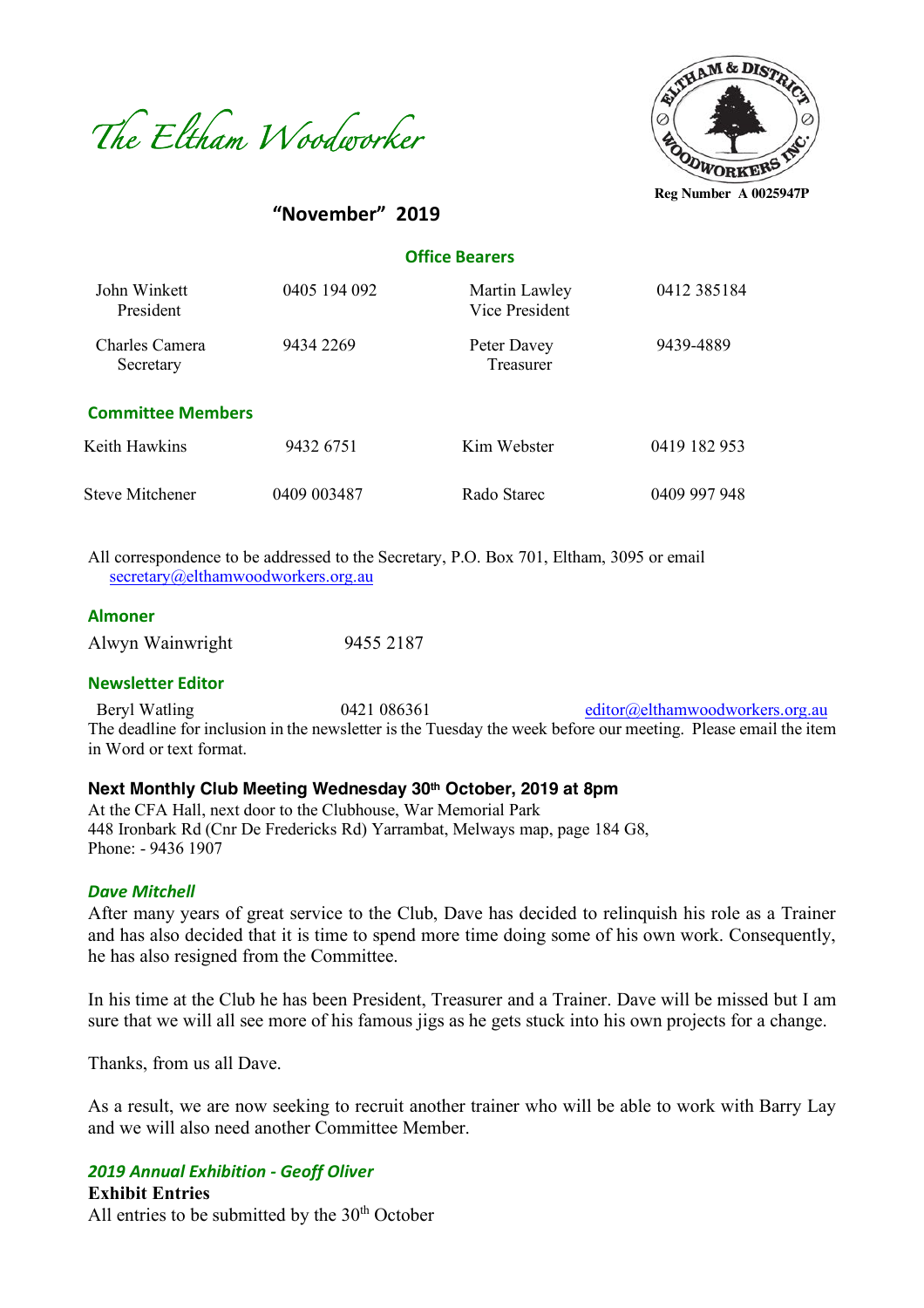



**"November" 2019**

 **Office Bearers**

| John Winkett<br>President   | 0405 194 092 | Martin Lawley<br>Vice President | 0412 385184  |
|-----------------------------|--------------|---------------------------------|--------------|
| Charles Camera<br>Secretary | 9434 2269    | Peter Davey<br>Treasurer        | 9439-4889    |
| <b>Committee Members</b>    |              |                                 |              |
| Keith Hawkins               | 9432 6751    | Kim Webster                     | 0419 182 953 |
| Steve Mitchener             | 0409 003487  | Rado Starec                     | 0409 997 948 |

All correspondence to be addressed to the Secretary, P.O. Box 701, Eltham, 3095 or email secretary@elthamwoodworkers.org.au

#### **Almoner**

Alwyn Wainwright 9455 2187

#### **Newsletter Editor**

Beryl Watling 0421 086361 editor@elthamwoodworkers.org.au The deadline for inclusion in the newsletter is the Tuesday the week before our meeting. Please email the item in Word or text format.

#### **Next Monthly Club Meeting Wednesday 30th October, 2019 at 8pm**

At the CFA Hall, next door to the Clubhouse, War Memorial Park 448 Ironbark Rd (Cnr De Fredericks Rd) Yarrambat, Melways map, page 184 G8, Phone: - 9436 1907

#### *Dave Mitchell*

After many years of great service to the Club, Dave has decided to relinquish his role as a Trainer and has also decided that it is time to spend more time doing some of his own work. Consequently, he has also resigned from the Committee.

In his time at the Club he has been President, Treasurer and a Trainer. Dave will be missed but I am sure that we will all see more of his famous jigs as he gets stuck into his own projects for a change.

Thanks, from us all Dave.

As a result, we are now seeking to recruit another trainer who will be able to work with Barry Lay and we will also need another Committee Member.

## *2019 Annual Exhibition - Geoff Oliver*

**Exhibit Entries** All entries to be submitted by the  $30<sup>th</sup>$  October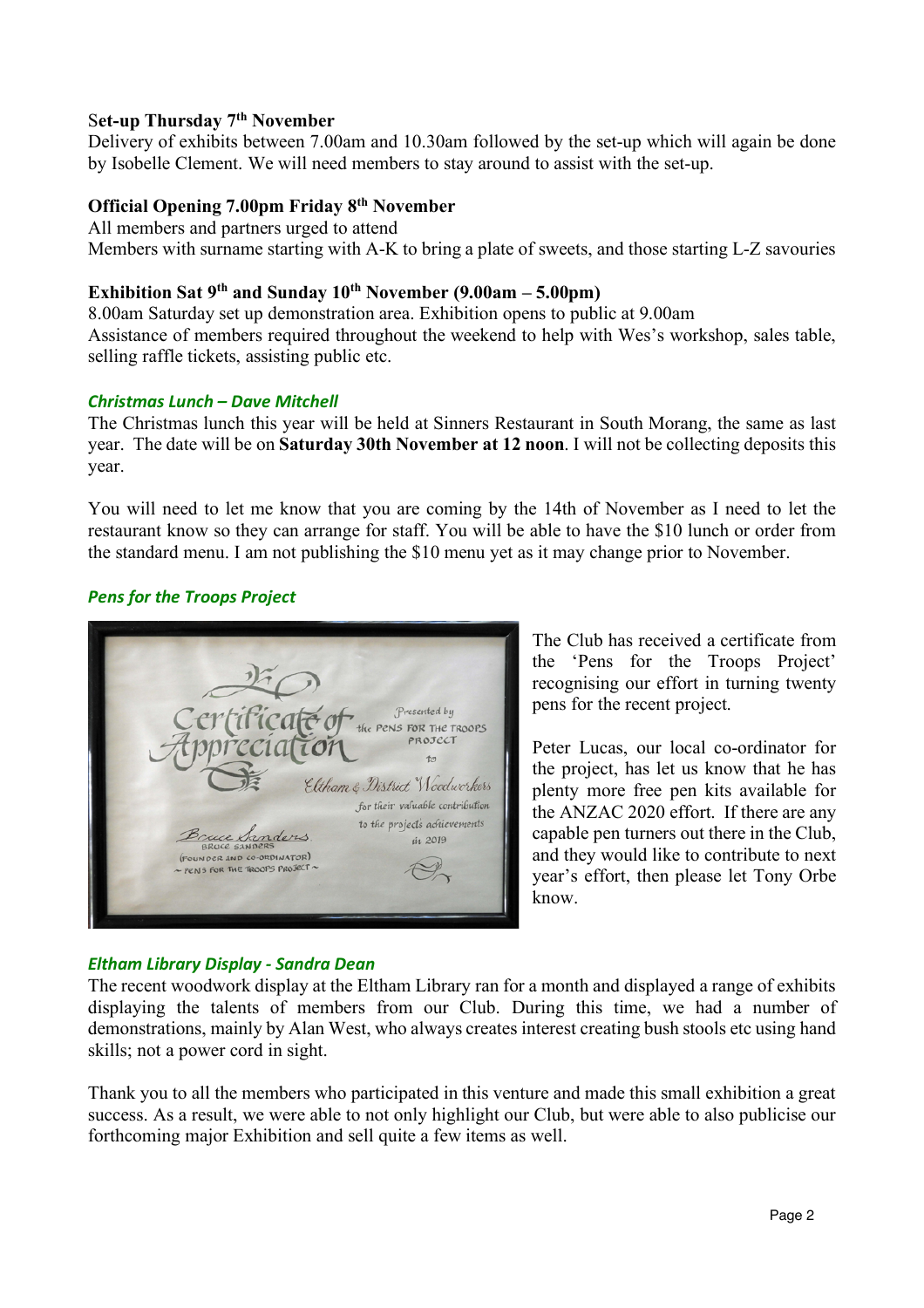# S**et-up Thursday 7th November**

Delivery of exhibits between 7.00am and 10.30am followed by the set-up which will again be done by Isobelle Clement. We will need members to stay around to assist with the set-up.

## **Official Opening 7.00pm Friday 8th November**

All members and partners urged to attend Members with surname starting with A-K to bring a plate of sweets, and those starting L-Z savouries

# **Exhibition Sat 9th and Sunday 10th November (9.00am – 5.00pm)**

8.00am Saturday set up demonstration area. Exhibition opens to public at 9.00am Assistance of members required throughout the weekend to help with Wes's workshop, sales table, selling raffle tickets, assisting public etc.

## *Christmas Lunch – Dave Mitchell*

The Christmas lunch this year will be held at Sinners Restaurant in South Morang, the same as last year. The date will be on **Saturday 30th November at 12 noon**. I will not be collecting deposits this year.

You will need to let me know that you are coming by the 14th of November as I need to let the restaurant know so they can arrange for staff. You will be able to have the \$10 lunch or order from the standard menu. I am not publishing the \$10 menu yet as it may change prior to November.

# *Pens for the Troops Project*



The Club has received a certificate from the 'Pens for the Troops Project' recognising our effort in turning twenty pens for the recent project.

Peter Lucas, our local co-ordinator for the project, has let us know that he has plenty more free pen kits available for the ANZAC 2020 effort. If there are any capable pen turners out there in the Club, and they would like to contribute to next year's effort, then please let Tony Orbe know.

# *Eltham Library Display - Sandra Dean*

The recent woodwork display at the Eltham Library ran for a month and displayed a range of exhibits displaying the talents of members from our Club. During this time, we had a number of demonstrations, mainly by Alan West, who always creates interest creating bush stools etc using hand skills; not a power cord in sight.

Thank you to all the members who participated in this venture and made this small exhibition a great success. As a result, we were able to not only highlight our Club, but were able to also publicise our forthcoming major Exhibition and sell quite a few items as well.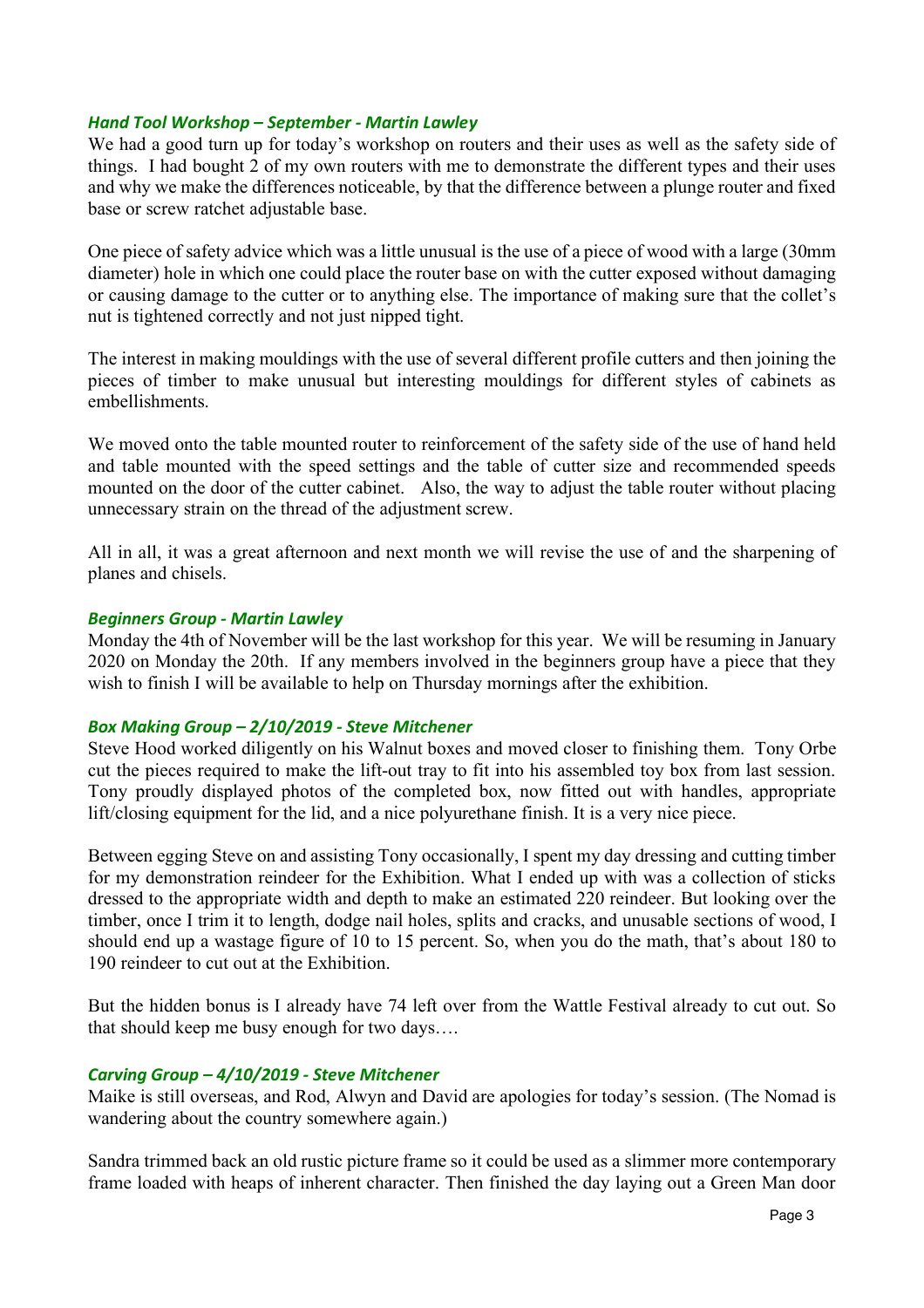### *Hand Tool Workshop – September - Martin Lawley*

We had a good turn up for today's workshop on routers and their uses as well as the safety side of things. I had bought 2 of my own routers with me to demonstrate the different types and their uses and why we make the differences noticeable, by that the difference between a plunge router and fixed base or screw ratchet adjustable base.

One piece of safety advice which was a little unusual is the use of a piece of wood with a large (30mm diameter) hole in which one could place the router base on with the cutter exposed without damaging or causing damage to the cutter or to anything else. The importance of making sure that the collet's nut is tightened correctly and not just nipped tight.

The interest in making mouldings with the use of several different profile cutters and then joining the pieces of timber to make unusual but interesting mouldings for different styles of cabinets as embellishments.

We moved onto the table mounted router to reinforcement of the safety side of the use of hand held and table mounted with the speed settings and the table of cutter size and recommended speeds mounted on the door of the cutter cabinet. Also, the way to adjust the table router without placing unnecessary strain on the thread of the adjustment screw.

All in all, it was a great afternoon and next month we will revise the use of and the sharpening of planes and chisels.

### *Beginners Group - Martin Lawley*

Monday the 4th of November will be the last workshop for this year. We will be resuming in January 2020 on Monday the 20th. If any members involved in the beginners group have a piece that they wish to finish I will be available to help on Thursday mornings after the exhibition.

## *Box Making Group – 2/10/2019 - Steve Mitchener*

Steve Hood worked diligently on his Walnut boxes and moved closer to finishing them. Tony Orbe cut the pieces required to make the lift-out tray to fit into his assembled toy box from last session. Tony proudly displayed photos of the completed box, now fitted out with handles, appropriate lift/closing equipment for the lid, and a nice polyurethane finish. It is a very nice piece.

Between egging Steve on and assisting Tony occasionally, I spent my day dressing and cutting timber for my demonstration reindeer for the Exhibition. What I ended up with was a collection of sticks dressed to the appropriate width and depth to make an estimated 220 reindeer. But looking over the timber, once I trim it to length, dodge nail holes, splits and cracks, and unusable sections of wood, I should end up a wastage figure of 10 to 15 percent. So, when you do the math, that's about 180 to 190 reindeer to cut out at the Exhibition.

But the hidden bonus is I already have 74 left over from the Wattle Festival already to cut out. So that should keep me busy enough for two days….

#### *Carving Group – 4/10/2019 - Steve Mitchener*

Maike is still overseas, and Rod, Alwyn and David are apologies for today's session. (The Nomad is wandering about the country somewhere again.)

Sandra trimmed back an old rustic picture frame so it could be used as a slimmer more contemporary frame loaded with heaps of inherent character. Then finished the day laying out a Green Man door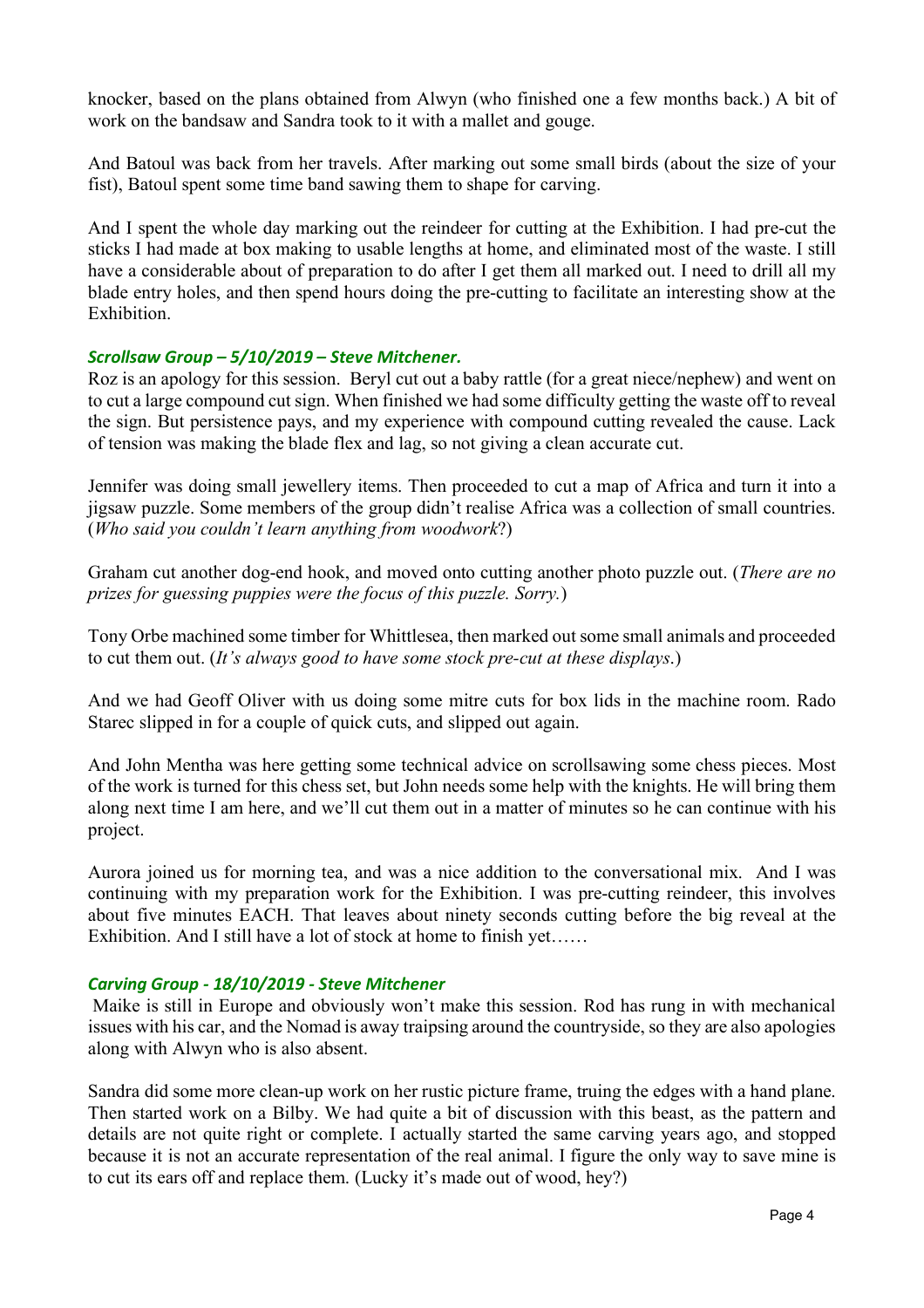knocker, based on the plans obtained from Alwyn (who finished one a few months back.) A bit of work on the bandsaw and Sandra took to it with a mallet and gouge.

And Batoul was back from her travels. After marking out some small birds (about the size of your fist), Batoul spent some time band sawing them to shape for carving.

And I spent the whole day marking out the reindeer for cutting at the Exhibition. I had pre-cut the sticks I had made at box making to usable lengths at home, and eliminated most of the waste. I still have a considerable about of preparation to do after I get them all marked out. I need to drill all my blade entry holes, and then spend hours doing the pre-cutting to facilitate an interesting show at the **Exhibition** 

## *Scrollsaw Group – 5/10/2019 – Steve Mitchener.*

Roz is an apology for this session. Beryl cut out a baby rattle (for a great niece/nephew) and went on to cut a large compound cut sign. When finished we had some difficulty getting the waste off to reveal the sign. But persistence pays, and my experience with compound cutting revealed the cause. Lack of tension was making the blade flex and lag, so not giving a clean accurate cut.

Jennifer was doing small jewellery items. Then proceeded to cut a map of Africa and turn it into a jigsaw puzzle. Some members of the group didn't realise Africa was a collection of small countries. (*Who said you couldn't learn anything from woodwork*?)

Graham cut another dog-end hook, and moved onto cutting another photo puzzle out. (*There are no prizes for guessing puppies were the focus of this puzzle. Sorry.*)

Tony Orbe machined some timber for Whittlesea, then marked out some small animals and proceeded to cut them out. (*It's always good to have some stock pre-cut at these displays*.)

And we had Geoff Oliver with us doing some mitre cuts for box lids in the machine room. Rado Starec slipped in for a couple of quick cuts, and slipped out again.

And John Mentha was here getting some technical advice on scrollsawing some chess pieces. Most of the work is turned for this chess set, but John needs some help with the knights. He will bring them along next time I am here, and we'll cut them out in a matter of minutes so he can continue with his project.

Aurora joined us for morning tea, and was a nice addition to the conversational mix. And I was continuing with my preparation work for the Exhibition. I was pre-cutting reindeer, this involves about five minutes EACH. That leaves about ninety seconds cutting before the big reveal at the Exhibition. And I still have a lot of stock at home to finish yet……

## *Carving Group - 18/10/2019 - Steve Mitchener*

Maike is still in Europe and obviously won't make this session. Rod has rung in with mechanical issues with his car, and the Nomad is away traipsing around the countryside, so they are also apologies along with Alwyn who is also absent.

Sandra did some more clean-up work on her rustic picture frame, truing the edges with a hand plane. Then started work on a Bilby. We had quite a bit of discussion with this beast, as the pattern and details are not quite right or complete. I actually started the same carving years ago, and stopped because it is not an accurate representation of the real animal. I figure the only way to save mine is to cut its ears off and replace them. (Lucky it's made out of wood, hey?)